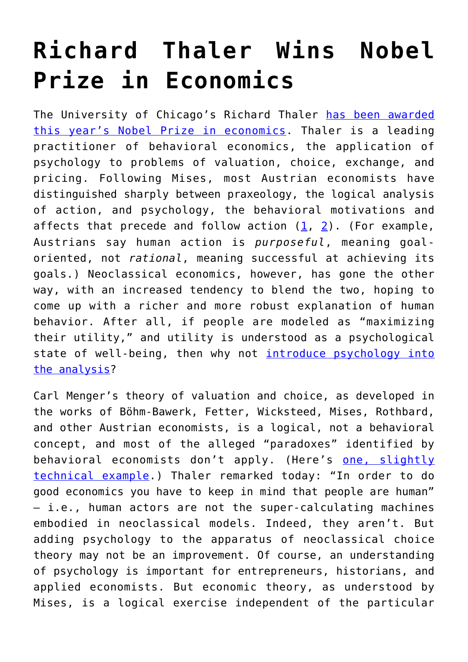## **[Richard Thaler Wins Nobel](https://intellectualtakeout.org/2017/10/richard-thaler-wins-nobel-prize-in-economics/) [Prize in Economics](https://intellectualtakeout.org/2017/10/richard-thaler-wins-nobel-prize-in-economics/)**

The University of Chicago's Richard Thaler [has been awarded](https://www.nytimes.com/2017/10/09/business/nobel-economics-richard-thaler.html) [this year's Nobel Prize in economics](https://www.nytimes.com/2017/10/09/business/nobel-economics-richard-thaler.html). Thaler is a leading practitioner of behavioral economics, the application of psychology to problems of valuation, choice, exchange, and pricing. Following Mises, most Austrian economists have distinguished sharply between praxeology, the logical analysis of action, and psychology, the behavioral motivations and affects that precede and follow action  $(1, 2)$  $(1, 2)$  $(1, 2)$  $(1, 2)$  $(1, 2)$ . (For example, Austrians say human action is *purposeful*, meaning goaloriented, not *rational*, meaning successful at achieving its goals.) Neoclassical economics, however, has gone the other way, with an increased tendency to blend the two, hoping to come up with a richer and more robust explanation of human behavior. After all, if people are modeled as "maximizing their utility," and utility is understood as a psychological state of well-being, then why not [introduce psychology into](http://www.nyu.edu/econ/user/bisina/rabin_survey.pdf) [the analysis](http://www.nyu.edu/econ/user/bisina/rabin_survey.pdf)?

Carl Menger's theory of valuation and choice, as developed in the works of Böhm-Bawerk, Fetter, Wicksteed, Mises, Rothbard, and other Austrian economists, is a logical, not a behavioral concept, and most of the alleged "paradoxes" identified by behavioral economists don't apply. (Here's [one, slightly](http://sites.baylor.edu/peter_klein/files/2016/06/giffen-t82d17.pdf) [technical example](http://sites.baylor.edu/peter_klein/files/2016/06/giffen-t82d17.pdf).) Thaler remarked today: "In order to do good economics you have to keep in mind that people are human" — i.e., human actors are not the super-calculating machines embodied in neoclassical models. Indeed, they aren't. But adding psychology to the apparatus of neoclassical choice theory may not be an improvement. Of course, an understanding of psychology is important for entrepreneurs, historians, and applied economists. But economic theory, as understood by Mises, is a logical exercise independent of the particular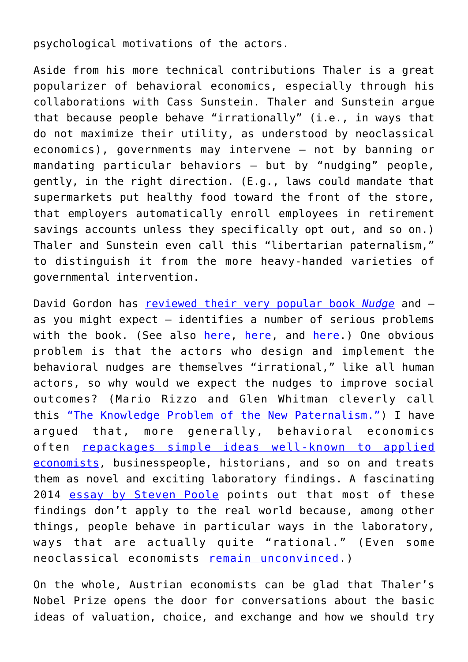psychological motivations of the actors.

Aside from his more technical contributions Thaler is a great popularizer of behavioral economics, especially through his collaborations with Cass Sunstein. Thaler and Sunstein argue that because people behave "irrationally" (i.e., in ways that do not maximize their utility, as understood by neoclassical economics), governments may intervene — not by banning or mandating particular behaviors — but by "nudging" people, gently, in the right direction. (E.g., laws could mandate that supermarkets put healthy food toward the front of the store, that employers automatically enroll employees in retirement savings accounts unless they specifically opt out, and so on.) Thaler and Sunstein even call this "libertarian paternalism," to distinguish it from the more heavy-handed varieties of governmental intervention.

David Gordon has [reviewed their very popular book](https://mises.org/library/nudge-improving-decisions-about-health-wealth-and-happiness-richard-h-thaler-and-sunstein) *[Nudge](https://mises.org/library/nudge-improving-decisions-about-health-wealth-and-happiness-richard-h-thaler-and-sunstein)* and as you might expect — identifies a number of serious problems with the book. (See also [here,](https://mises.org/library/nudge-wrong-direction) [here](https://mises.org/library/cass-sunstein-wants-modify-our-behavior), and [here](https://mises.org/library/behavioral-economics-odds-freedom).) One obvious problem is that the actors who design and implement the behavioral nudges are themselves "irrational," like all human actors, so why would we expect the nudges to improve social outcomes? (Mario Rizzo and Glen Whitman cleverly call this ["The Knowledge Problem of the New Paternalism."](http://digitalcommons.law.byu.edu/cgi/viewcontent.cgi?article=2461&context=lawreview)) I have argued that, more generally, behavioral economics often [repackages simple ideas well-known to applied](https://organizationsandmarkets.com/2010/05/21/does-behavioral-economics-offer-anything-new-and-true/) [economists](https://organizationsandmarkets.com/2010/05/21/does-behavioral-economics-offer-anything-new-and-true/), businesspeople, historians, and so on and treats them as novel and exciting laboratory findings. A fascinating 2014 [essay by Steven Poole](https://aeon.co/essays/we-are-more-rational-than-those-who-nudge-us) points out that most of these findings don't apply to the real world because, among other things, people behave in particular ways in the laboratory, ways that are actually quite "rational." (Even some neoclassical economists [remain unconvinced.](http://www.princeton.edu/~pesendor/mindless.pdf))

On the whole, Austrian economists can be glad that Thaler's Nobel Prize opens the door for conversations about the basic ideas of valuation, choice, and exchange and how we should try